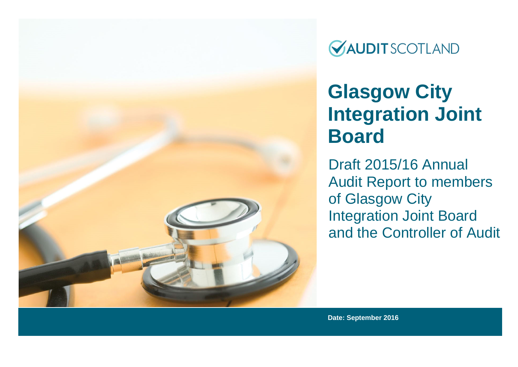

**GAUDIT SCOTLAND** 

# **Glasgow City Integration Joint Board**

Draft 2015/16 Annual Audit Report to members of Glasgow City Integration Joint Board and the Controller of Audit

**Date: September 2016**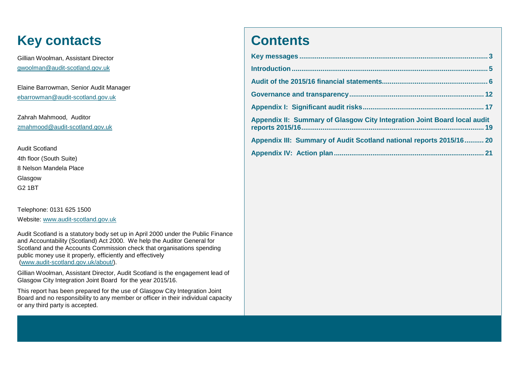## **Key contacts**

Gillian Woolman, Assistant Director gwoolman@audit-scotland.gov.uk

Elaine Barrowman, Senior Audit Manager ebarrowman@audit-scotland.gov.uk

Zahrah Mahmood, Auditor zmahmood@audit-scotland.gov.uk

Audit Scotland 4th floor (South Suite) 8 Nelson Mandela Place Glasgow G2 1BT

Telephone: 0131 625 1500

Website: [www.audit-scotland.gov.uk](http://www.audit-scotland.gov.uk/)

Audit Scotland is a statutory body set up in April 2000 under the Public Finance and Accountability (Scotland) Act 2000. We help the Auditor General for Scotland and the Accounts Commission check that organisations spending public money use it properly, efficiently and effectively [\(www.audit-scotland.gov.uk/about/\)](http://www.audit-scotland.gov.uk/about/).

Gillian Woolman, Assistant Director, Audit Scotland is the engagement lead of Glasgow City Integration Joint Board for the year 2015/16.

This report has been prepared for the use of Glasgow City Integration Joint Board and no responsibility to any member or officer in their individual capacity or any third party is accepted.

## **Contents**

| Appendix II: Summary of Glasgow City Integration Joint Board local audit |
|--------------------------------------------------------------------------|
| Appendix III: Summary of Audit Scotland national reports 2015/16 20      |
|                                                                          |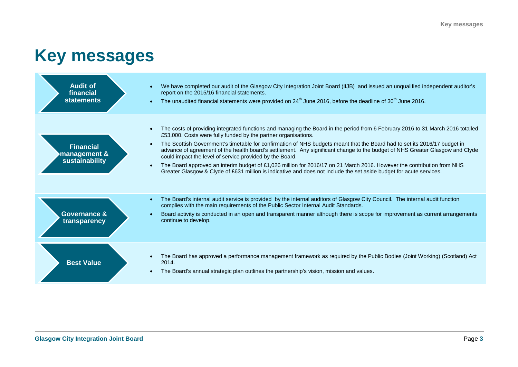## **Key messages**

| <b>Audit of</b><br>financial<br><b>statements</b>  | We have completed our audit of the Glasgow City Integration Joint Board (IIJB) and issued an unqualified independent auditor's<br>$\bullet$<br>report on the 2015/16 financial statements.<br>The unaudited financial statements were provided on $24th$ June 2016, before the deadline of 30 <sup>th</sup> June 2016.<br>$\bullet$                                                                                                                                                                                                                                                                                                                                                                                                                                                                                |
|----------------------------------------------------|--------------------------------------------------------------------------------------------------------------------------------------------------------------------------------------------------------------------------------------------------------------------------------------------------------------------------------------------------------------------------------------------------------------------------------------------------------------------------------------------------------------------------------------------------------------------------------------------------------------------------------------------------------------------------------------------------------------------------------------------------------------------------------------------------------------------|
| <b>Financial</b><br>management &<br>sustainability | The costs of providing integrated functions and managing the Board in the period from 6 February 2016 to 31 March 2016 totalled<br>$\bullet$<br>£53,000. Costs were fully funded by the partner organisations.<br>The Scottish Government's timetable for confirmation of NHS budgets meant that the Board had to set its 2016/17 budget in<br>$\bullet$<br>advance of agreement of the health board's settlement. Any significant change to the budget of NHS Greater Glasgow and Clyde<br>could impact the level of service provided by the Board.<br>The Board approved an interim budget of £1,026 million for 2016/17 on 21 March 2016. However the contribution from NHS<br>$\bullet$<br>Greater Glasgow & Clyde of £631 million is indicative and does not include the set aside budget for acute services. |
| <b>Governance &amp;</b><br>transparency            | The Board's internal audit service is provided by the internal auditors of Glasgow City Council. The internal audit function<br>$\bullet$<br>complies with the main requirements of the Public Sector Internal Audit Standards.<br>Board activity is conducted in an open and transparent manner although there is scope for improvement as current arrangements<br>$\bullet$<br>continue to develop.                                                                                                                                                                                                                                                                                                                                                                                                              |
| <b>Best Value</b>                                  | The Board has approved a performance management framework as required by the Public Bodies (Joint Working) (Scotland) Act<br>$\bullet$<br>2014.<br>The Board's annual strategic plan outlines the partnership's vision, mission and values.<br>$\bullet$                                                                                                                                                                                                                                                                                                                                                                                                                                                                                                                                                           |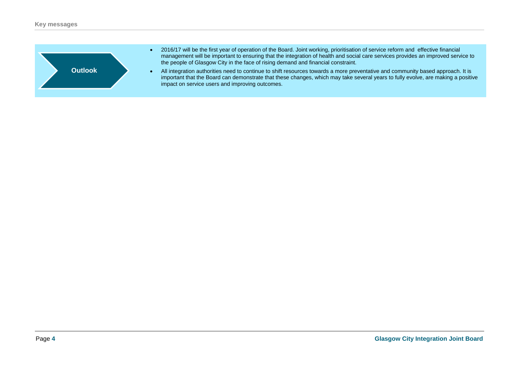

- 2016/17 will be the first year of operation of the Board. Joint working, prioritisation of service reform and effective financial management will be important to ensuring that the integration of health and social care services provides an improved service to the people of Glasgow City in the face of rising demand and financial constraint.
- All integration authorities need to continue to shift resources towards a more preventative and community based approach. It is important that the Board can demonstrate that these changes, which may take several years to fully evolve, are making a positive impact on service users and improving outcomes.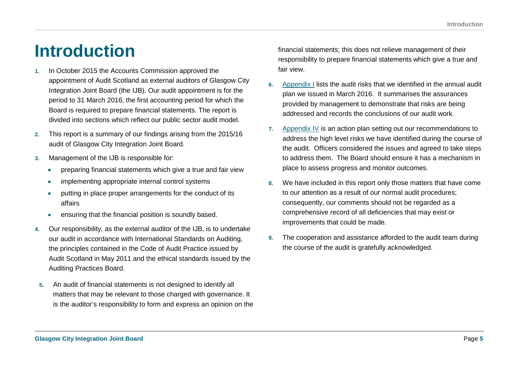## **Introduction**

- **1.** In October 2015 the Accounts Commission approved the appointment of Audit Scotland as external auditors of Glasgow City Integration Joint Board (the IJB). Our audit appointment is for the period to 31 March 2016, the first accounting period for which the Board is required to prepare financial statements. The report is divided into sections which reflect our public sector audit model.
- **2.** This report is a summary of our findings arising from the 2015/16 audit of Glasgow City Integration Joint Board.
- **3.** Management of the IJB is responsible for:
	- preparing financial statements which give a true and fair view
	- implementing appropriate internal control systems
	- putting in place proper arrangements for the conduct of its affairs
	- ensuring that the financial position is soundly based.
- **4.** Our responsibility, as the external auditor of the IJB, is to undertake our audit in accordance with International Standards on Auditing, the principles contained in the Code of Audit Practice issued by Audit Scotland in May 2011 and the ethical standards issued by the Auditing Practices Board.
- **5.** An audit of financial statements is not designed to identify all matters that may be relevant to those charged with governance. It is the auditor's responsibility to form and express an opinion on the

financial statements; this does not relieve management of their responsibility to prepare financial statements which give a true and fair view.

- **6.** [Appendix I](#page-16-0) lists the audit risks that we identified in the annual audit plan we issued in March 2016. It summarises the assurances provided by management to demonstrate that risks are being addressed and records the conclusions of our audit work.
- **7.** [Appendix IV](#page-20-0) is an action plan setting out our recommendations to address the high level risks we have identified during the course of the audit. Officers considered the issues and agreed to take steps to address them. The Board should ensure it has a mechanism in place to assess progress and monitor outcomes.
- **8.** We have included in this report only those matters that have come to our attention as a result of our normal audit procedures; consequently, our comments should not be regarded as a comprehensive record of all deficiencies that may exist or improvements that could be made.
- **9.** The cooperation and assistance afforded to the audit team during the course of the audit is gratefully acknowledged.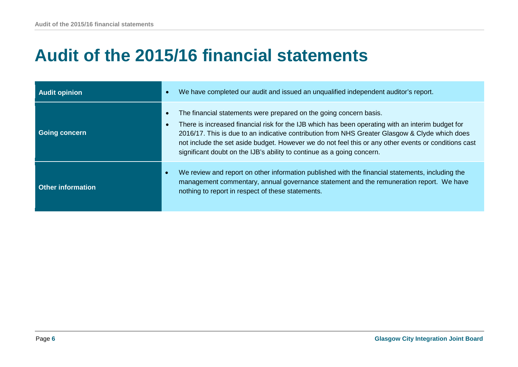## **Audit of the 2015/16 financial statements**

| <b>Audit opinion</b>     | We have completed our audit and issued an unqualified independent auditor's report.                                                                                                                                                                                                                                                                                                                                                                         |
|--------------------------|-------------------------------------------------------------------------------------------------------------------------------------------------------------------------------------------------------------------------------------------------------------------------------------------------------------------------------------------------------------------------------------------------------------------------------------------------------------|
| <b>Going concern</b>     | The financial statements were prepared on the going concern basis.<br>There is increased financial risk for the IJB which has been operating with an interim budget for<br>2016/17. This is due to an indicative contribution from NHS Greater Glasgow & Clyde which does<br>not include the set aside budget. However we do not feel this or any other events or conditions cast<br>significant doubt on the IJB's ability to continue as a going concern. |
| <b>Other information</b> | We review and report on other information published with the financial statements, including the<br>management commentary, annual governance statement and the remuneration report. We have<br>nothing to report in respect of these statements.                                                                                                                                                                                                            |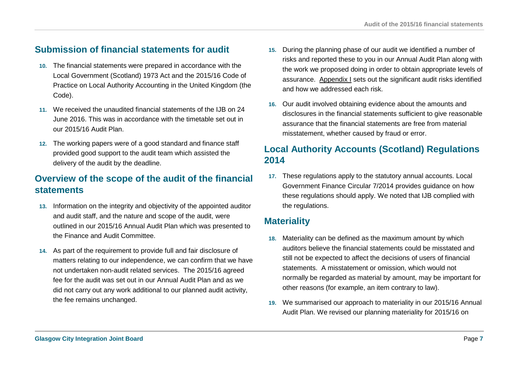## **Submission of financial statements for audit**

- **10.** The financial statements were prepared in accordance with the Local Government (Scotland) 1973 Act and the 2015/16 Code of Practice on Local Authority Accounting in the United Kingdom (the Code).
- **11.** We received the unaudited financial statements of the IJB on 24 June 2016. This was in accordance with the timetable set out in our 2015/16 Audit Plan.
- **12.** The working papers were of a good standard and finance staff provided good support to the audit team which assisted the delivery of the audit by the deadline.

## **Overview of the scope of the audit of the financial statements**

- **13.** Information on the integrity and objectivity of the appointed auditor and audit staff, and the nature and scope of the audit, were outlined in our 2015/16 Annual Audit Plan which was presented to the Finance and Audit Committee.
- **14.** As part of the requirement to provide full and fair disclosure of matters relating to our independence, we can confirm that we have not undertaken non-audit related services. The 2015/16 agreed fee for the audit was set out in our Annual Audit Plan and as we did not carry out any work additional to our planned audit activity, the fee remains unchanged.
- **15.** During the planning phase of our audit we identified a number of risks and reported these to you in our Annual Audit Plan along with the work we proposed doing in order to obtain appropriate levels of assurance. [Appendix I](#page-16-0) sets out the significant audit risks identified and how we addressed each risk.
- **16.** Our audit involved obtaining evidence about the amounts and disclosures in the financial statements sufficient to give reasonable assurance that the financial statements are free from material misstatement, whether caused by fraud or error.

## **Local Authority Accounts (Scotland) Regulations 2014**

**17.** These regulations apply to the statutory annual accounts. Local Government Finance Circular 7/2014 provides guidance on how these regulations should apply. We noted that IJB complied with the regulations.

## **Materiality**

- **18.** Materiality can be defined as the maximum amount by which auditors believe the financial statements could be misstated and still not be expected to affect the decisions of users of financial statements. A misstatement or omission, which would not normally be regarded as material by amount, may be important for other reasons (for example, an item contrary to law).
- **19.** We summarised our approach to materiality in our 2015/16 Annual Audit Plan. We revised our planning materiality for 2015/16 on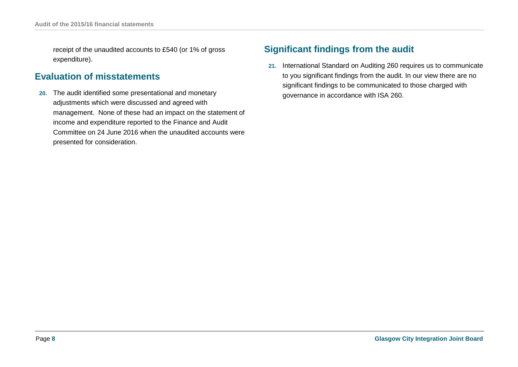receipt of the unaudited accounts to £540 (or 1% of gross expenditure).

## **Evaluation of misstatements**

**20.** The audit identified some presentational and monetary adjustments which were discussed and agreed with management. None of these had an impact on the statement of income and expenditure reported to the Finance and Audit Committee on 24 June 2016 when the unaudited accounts were presented for consideration.

## **Significant findings from the audit**

**21.** International Standard on Auditing 260 requires us to communicate to you significant findings from the audit. In our view there are no significant findings to be communicated to those charged with governance in accordance with ISA 260.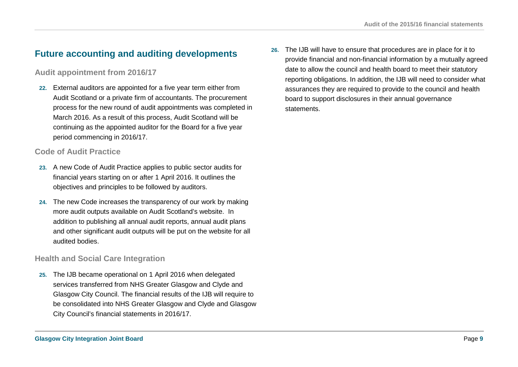## **Future accounting and auditing developments**

### **Audit appointment from 2016/17**

**22.** External auditors are appointed for a five year term either from Audit Scotland or a private firm of accountants. The procurement process for the new round of audit appointments was completed in March 2016. As a result of this process, Audit Scotland will be continuing as the appointed auditor for the Board for a five year period commencing in 2016/17.

### **Code of Audit Practice**

- **23.** A new Code of Audit Practice applies to public sector audits for financial years starting on or after 1 April 2016. It outlines the objectives and principles to be followed by auditors.
- **24.** The new Code increases the transparency of our work by making more audit outputs available on Audit Scotland's website. In addition to publishing all annual audit reports, annual audit plans and other significant audit outputs will be put on the website for all audited bodies.

### **Health and Social Care Integration**

**25.** The IJB became operational on 1 April 2016 when delegated services transferred from NHS Greater Glasgow and Clyde and Glasgow City Council. The financial results of the IJB will require to be consolidated into NHS Greater Glasgow and Clyde and Glasgow City Council's financial statements in 2016/17.

**26.** The IJB will have to ensure that procedures are in place for it to provide financial and non-financial information by a mutually agreed date to allow the council and health board to meet their statutory reporting obligations. In addition, the IJB will need to consider what assurances they are required to provide to the council and health board to support disclosures in their annual governance statements.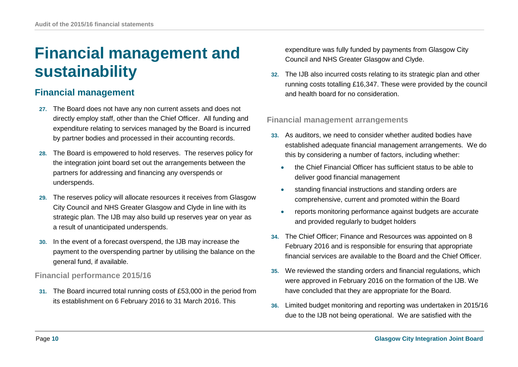## **Financial management and sustainability**

## **Financial management**

- **27.** The Board does not have any non current assets and does not directly employ staff, other than the Chief Officer. All funding and expenditure relating to services managed by the Board is incurred by partner bodies and processed in their accounting records.
- **28.** The Board is empowered to hold reserves. The reserves policy for the integration joint board set out the arrangements between the partners for addressing and financing any overspends or underspends.
- **29.** The reserves policy will allocate resources it receives from Glasgow City Council and NHS Greater Glasgow and Clyde in line with its strategic plan. The IJB may also build up reserves year on year as a result of unanticipated underspends.
- **30.** In the event of a forecast overspend, the IJB may increase the payment to the overspending partner by utilising the balance on the general fund, if available.

### **Financial performance 2015/16**

**31.** The Board incurred total running costs of £53,000 in the period from its establishment on 6 February 2016 to 31 March 2016. This

expenditure was fully funded by payments from Glasgow City Council and NHS Greater Glasgow and Clyde.

**32.** The IJB also incurred costs relating to its strategic plan and other running costs totalling £16,347. These were provided by the council and health board for no consideration.

### **Financial management arrangements**

- **33.** As auditors, we need to consider whether audited bodies have established adequate financial management arrangements. We do this by considering a number of factors, including whether:
	- the Chief Financial Officer has sufficient status to be able to deliver good financial management
	- standing financial instructions and standing orders are comprehensive, current and promoted within the Board
	- reports monitoring performance against budgets are accurate and provided regularly to budget holders
- **34.** The Chief Officer; Finance and Resources was appointed on 8 February 2016 and is responsible for ensuring that appropriate financial services are available to the Board and the Chief Officer.
- **35.** We reviewed the standing orders and financial regulations, which were approved in February 2016 on the formation of the IJB. We have concluded that they are appropriate for the Board.
- **36.** Limited budget monitoring and reporting was undertaken in 2015/16 due to the IJB not being operational. We are satisfied with the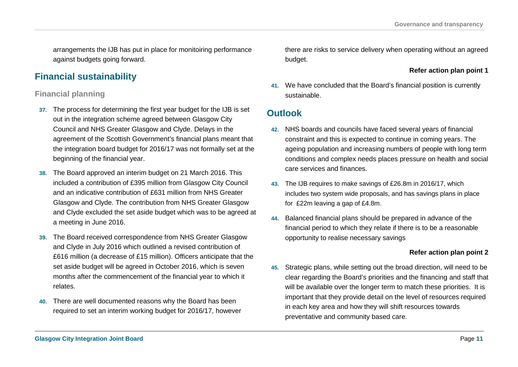arrangements the IJB has put in place for monitoiring performance against budgets going forward.

## **Financial sustainability**

### **Financial planning**

- **37.** The process for determining the first year budget for the IJB is set out in the integration scheme agreed between Glasgow City Council and NHS Greater Glasgow and Clyde. Delays in the agreement of the Scottish Government's financial plans meant that the integration board budget for 2016/17 was not formally set at the beginning of the financial year.
- **38.** The Board approved an interim budget on 21 March 2016. This included a contribution of £395 million from Glasgow City Council and an indicative contribution of £631 million from NHS Greater Glasgow and Clyde. The contribution from NHS Greater Glasgow and Clyde excluded the set aside budget which was to be agreed at a meeting in June 2016.
- **39.** The Board received correspondence from NHS Greater Glasgow and Clyde in July 2016 which outlined a revised contribution of £616 million (a decrease of £15 million). Officers anticipate that the set aside budget will be agreed in October 2016, which is seven months after the commencement of the financial year to which it relates.
- **40.** There are well documented reasons why the Board has been required to set an interim working budget for 2016/17, however

there are risks to service delivery when operating without an agreed budget.

**Refer action plan point 1**

**41.** We have concluded that the Board's financial position is currently sustainable.

### **Outlook**

- **42.** NHS boards and councils have faced several years of financial constraint and this is expected to continue in coming years. The ageing population and increasing numbers of people with long term conditions and complex needs places pressure on health and social care services and finances.
- **43.** The IJB requires to make savings of £26.8m in 2016/17, which includes two system wide proposals, and has savings plans in place for £22m leaving a gap of £4.8m.
- **44.** Balanced financial plans should be prepared in advance of the financial period to which they relate if there is to be a reasonable opportunity to realise necessary savings

### **Refer action plan point 2**

**45.** Strategic plans, while setting out the broad direction, will need to be clear regarding the Board's priorities and the financing and staff that will be available over the longer term to match these priorities. It is important that they provide detail on the level of resources required in each key area and how they will shift resources towards preventative and community based care.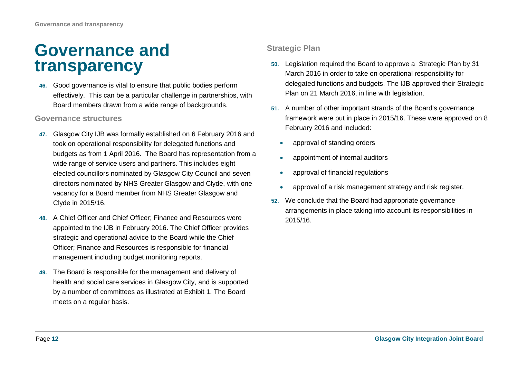## **Governance and transparency**

**46.** Good governance is vital to ensure that public bodies perform effectively. This can be a particular challenge in partnerships, with Board members drawn from a wide range of backgrounds.

### **Governa**n**ce structures**

- **47.** Glasgow City IJB was formally established on 6 February 2016 and took on operational responsibility for delegated functions and budgets as from 1 April 2016. The Board has representation from a wide range of service users and partners. This includes eight elected councillors nominated by Glasgow City Council and seven directors nominated by NHS Greater Glasgow and Clyde, with one vacancy for a Board member from NHS Greater Glasgow and Clyde in 2015/16.
- **48.** A Chief Officer and Chief Officer; Finance and Resources were appointed to the IJB in February 2016. The Chief Officer provides strategic and operational advice to the Board while the Chief Officer; Finance and Resources is responsible for financial management including budget monitoring reports.
- **49.** The Board is responsible for the management and delivery of health and social care services in Glasgow City, and is supported by a number of committees as illustrated at Exhibit 1. The Board meets on a regular basis.

### **Strategic Plan**

- **50.** Legislation required the Board to approve a Strategic Plan by 31 March 2016 in order to take on operational responsibility for delegated functions and budgets. The IJB approved their Strategic Plan on 21 March 2016, in line with legislation.
- **51.** A number of other important strands of the Board's governance framework were put in place in 2015/16. These were approved on 8 February 2016 and included:
	- approval of standing orders
	- appointment of internal auditors
	- approval of financial regulations
	- approval of a risk management strategy and risk register.
- **52.** We conclude that the Board had appropriate governance arrangements in place taking into account its responsibilities in 2015/16.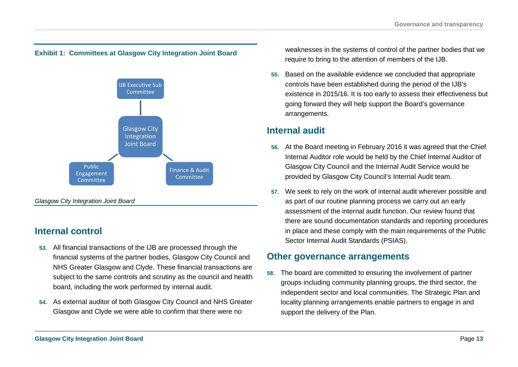### **Exhibit 1: Committees at Glasgow City Integration Joint Board**



## **Internal control**

- **53.** All financial transactions of the IJB are processed through the financial systems of the partner bodies, Glasgow City Council and NHS Greater Glasgow and Clyde. These financial transactions are subject to the same controls and scrutiny as the council and health board, including the work performed by internal audit.
- **54.** As external auditor of both Glasgow City Council and NHS Greater Glasgow and Clyde we were able to confirm that there were no

weaknesses in the systems of control of the partner bodies that we require to bring to the attention of members of the IJB.

**55.** Based on the available evidence we concluded that appropriate controls have been established during the period of the IJB's existence in 2015/16. It is too early to assess their effectiveness but going forward they will help support the Board's governance arrangements.

### **Internal audit**

- **56.** At the Board meeting in February 2016 it was agreed that the Chief Internal Auditor role would be held by the Chief Internal Auditor of Glasgow City Council and the Internal Audit Service would be provided by Glasgow City Council's Internal Audit team.
- **57.** We seek to rely on the work of internal audit wherever possible and as part of our routine planning process we carry out an early assessment of the internal audit function. Our review found that there are sound documentation standards and reporting procedures in place and these comply with the main requirements of the Public Sector Internal Audit Standards (PSIAS).

### **Other governance arrangements**

**58.** The board are committed to ensuring the involvement of partner groups including community planning groups, the third sector, the independent sector and local communities. The Strategic Plan and locality planning arrangements enable partners to engage in and support the delivery of the Plan.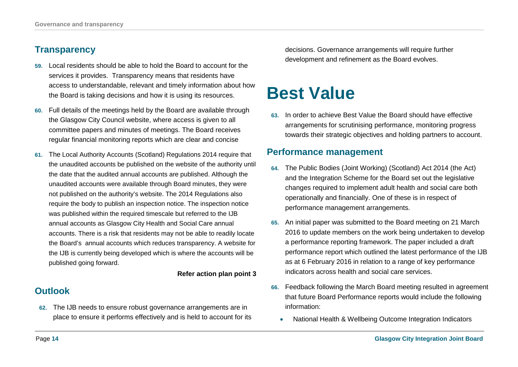## **Transparency**

- **59.** Local residents should be able to hold the Board to account for the services it provides. Transparency means that residents have access to understandable, relevant and timely information about how the Board is taking decisions and how it is using its resources.
- **60.** Full details of the meetings held by the Board are available through the Glasgow City Council website, where access is given to all committee papers and minutes of meetings. The Board receives regular financial monitoring reports which are clear and concise
- **61.** The Local Authority Accounts (Scotland) Regulations 2014 require that the unaudited accounts be published on the website of the authority until the date that the audited annual accounts are published. Although the unaudited accounts were available through Board minutes, they were not published on the authority's website. The 2014 Regulations also require the body to publish an inspection notice. The inspection notice was published within the required timescale but referred to the IJB annual accounts as Glasgow City Health and Social Care annual accounts. There is a risk that residents may not be able to readily locate the Board's annual accounts which reduces transparency. A website for the IJB is currently being developed which is where the accounts will be published going forward.

#### **Refer action plan point 3**

## **Outlook**

**62.** The IJB needs to ensure robust governance arrangements are in place to ensure it performs effectively and is held to account for its decisions. Governance arrangements will require further development and refinement as the Board evolves.

## **Best Value**

**63.** In order to achieve Best Value the Board should have effective arrangements for scrutinising performance, monitoring progress towards their strategic objectives and holding partners to account.

### **Performance management**

- **64.** The Public Bodies (Joint Working) (Scotland) Act 2014 (the Act) and the Integration Scheme for the Board set out the legislative changes required to implement adult health and social care both operationally and financially. One of these is in respect of performance management arrangements.
- **65.** An initial paper was submitted to the Board meeting on 21 March 2016 to update members on the work being undertaken to develop a performance reporting framework. The paper included a draft performance report which outlined the latest performance of the IJB as at 6 February 2016 in relation to a range of key performance indicators across health and social care services.
- **66.** Feedback following the March Board meeting resulted in agreement that future Board Performance reports would include the following information:
	- National Health & Wellbeing Outcome Integration Indicators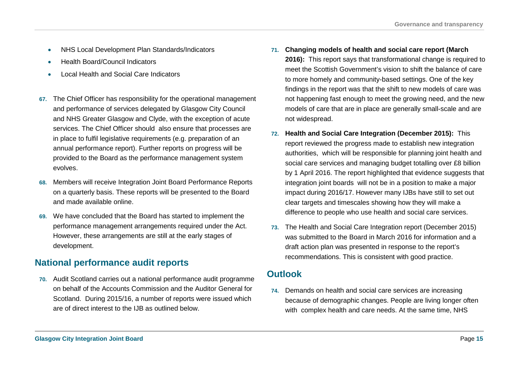- NHS Local Development Plan Standards/Indicators
- Health Board/Council Indicators
- Local Health and Social Care Indicators
- **67.** The Chief Officer has responsibility for the operational management and performance of services delegated by Glasgow City Council and NHS Greater Glasgow and Clyde, with the exception of acute services. The Chief Officer should also ensure that processes are in place to fulfil legislative requirements (e.g. preparation of an annual performance report). Further reports on progress will be provided to the Board as the performance management system evolves.
- **68.** Members will receive Integration Joint Board Performance Reports on a quarterly basis. These reports will be presented to the Board and made available online.
- **69.** We have concluded that the Board has started to implement the performance management arrangements required under the Act. However, these arrangements are still at the early stages of development.

## **National performance audit reports**

**70.** Audit Scotland carries out a national performance audit programme on behalf of the Accounts Commission and the Auditor General for Scotland. During 2015/16, a number of reports were issued which are of direct interest to the IJB as outlined below.

- **71. Changing models of health and social care report (March 2016):** This report says that transformational change is required to meet the Scottish Government's vision to shift the balance of care to more homely and community-based settings. One of the key findings in the report was that the shift to new models of care was not happening fast enough to meet the growing need, and the new models of care that are in place are generally small-scale and are not widespread.
- **72. Health and Social Care Integration (December 2015):** This report reviewed the progress made to establish new integration authorities, which will be responsible for planning joint health and social care services and managing budget totalling over £8 billion by 1 April 2016. The report highlighted that evidence suggests that integration joint boards will not be in a position to make a major impact during 2016/17. However many IJBs have still to set out clear targets and timescales showing how they will make a difference to people who use health and social care services.
- **73.** The Health and Social Care Integration report (December 2015) was submitted to the Board in March 2016 for information and a draft action plan was presented in response to the report's recommendations. This is consistent with good practice.

### **Outlook**

**74.** Demands on health and social care services are increasing because of demographic changes. People are living longer often with complex health and care needs. At the same time, NHS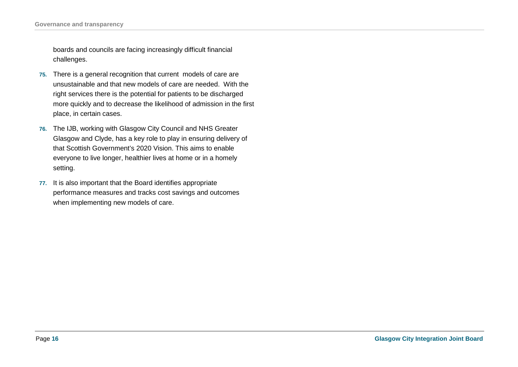**Governance and transparency**

boards and councils are facing increasingly difficult financial challenges.

- **75.** There is a general recognition that current models of care are unsustainable and that new models of care are needed. With the right services there is the potential for patients to be discharged more quickly and to decrease the likelihood of admission in the first place, in certain cases.
- **76.** The IJB, working with Glasgow City Council and NHS Greater Glasgow and Clyde, has a key role to play in ensuring delivery of that Scottish Government's 2020 Vision. This aims to enable everyone to live longer, healthier lives at home or in a homely setting.
- **77.** It is also important that the Board identifies appropriate performance measures and tracks cost savings and outcomes when implementing new models of care.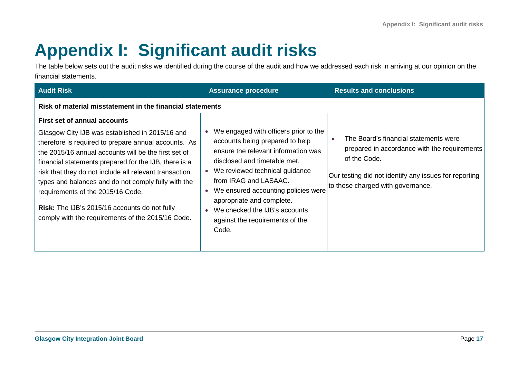# <span id="page-16-0"></span>**Appendix I: Significant audit risks**

The table below sets out the audit risks we identified during the course of the audit and how we addressed each risk in arriving at our opinion on the financial statements.

| <b>Audit Risk</b>                                                                                                                                                                                                                                                                                                                                                                                                                                                                                                                  | <b>Assurance procedure</b>                                                                                                                                                                                                                                                                                                                                                            | <b>Results and conclusions</b>                                                                                                                                                                                   |  |  |
|------------------------------------------------------------------------------------------------------------------------------------------------------------------------------------------------------------------------------------------------------------------------------------------------------------------------------------------------------------------------------------------------------------------------------------------------------------------------------------------------------------------------------------|---------------------------------------------------------------------------------------------------------------------------------------------------------------------------------------------------------------------------------------------------------------------------------------------------------------------------------------------------------------------------------------|------------------------------------------------------------------------------------------------------------------------------------------------------------------------------------------------------------------|--|--|
| Risk of material misstatement in the financial statements                                                                                                                                                                                                                                                                                                                                                                                                                                                                          |                                                                                                                                                                                                                                                                                                                                                                                       |                                                                                                                                                                                                                  |  |  |
| <b>First set of annual accounts</b><br>Glasgow City IJB was established in 2015/16 and<br>therefore is required to prepare annual accounts. As<br>the 2015/16 annual accounts will be the first set of<br>financial statements prepared for the IJB, there is a<br>risk that they do not include all relevant transaction<br>types and balances and do not comply fully with the<br>requirements of the 2015/16 Code.<br><b>Risk:</b> The IJB's 2015/16 accounts do not fully<br>comply with the requirements of the 2015/16 Code. | We engaged with officers prior to the<br>accounts being prepared to help<br>ensure the relevant information was<br>disclosed and timetable met.<br>We reviewed technical guidance<br>from IRAG and LASAAC.<br>We ensured accounting policies were<br>$\bullet$<br>appropriate and complete.<br>We checked the IJB's accounts<br>$\bullet$<br>against the requirements of the<br>Code. | The Board's financial statements were<br>$\bullet$<br>prepared in accordance with the requirements<br>of the Code.<br>Our testing did not identify any issues for reporting<br>to those charged with governance. |  |  |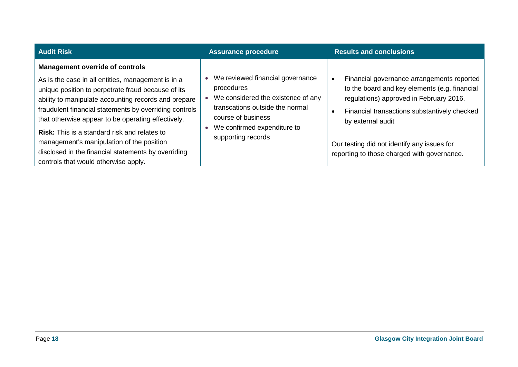| <b>Audit Risk</b>                                                                                                                                                                                                                                                                                                                                                                                                                                                                                                             | <b>Assurance procedure</b>                                                                                                                                                                         | <b>Results and conclusions</b>                                                                                                                                                                                                                                                                                                      |
|-------------------------------------------------------------------------------------------------------------------------------------------------------------------------------------------------------------------------------------------------------------------------------------------------------------------------------------------------------------------------------------------------------------------------------------------------------------------------------------------------------------------------------|----------------------------------------------------------------------------------------------------------------------------------------------------------------------------------------------------|-------------------------------------------------------------------------------------------------------------------------------------------------------------------------------------------------------------------------------------------------------------------------------------------------------------------------------------|
| <b>Management override of controls</b><br>As is the case in all entities, management is in a<br>unique position to perpetrate fraud because of its<br>ability to manipulate accounting records and prepare<br>fraudulent financial statements by overriding controls<br>that otherwise appear to be operating effectively.<br><b>Risk:</b> This is a standard risk and relates to<br>management's manipulation of the position<br>disclosed in the financial statements by overriding<br>controls that would otherwise apply. | We reviewed financial governance<br>procedures<br>We considered the existence of any<br>transcations outside the normal<br>course of business<br>We confirmed expenditure to<br>supporting records | Financial governance arrangements reported<br>$\bullet$<br>to the board and key elements (e.g. financial<br>regulations) approved in February 2016.<br>Financial transactions substantively checked<br>$\bullet$<br>by external audit<br>Our testing did not identify any issues for<br>reporting to those charged with governance. |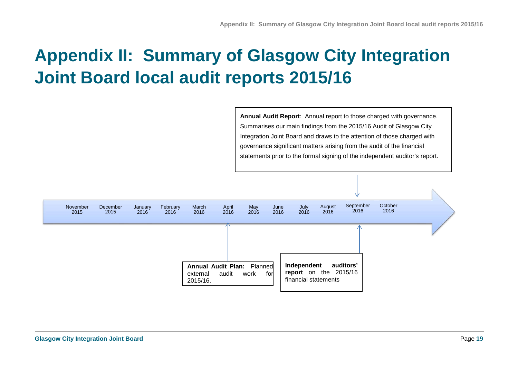# **Appendix II: Summary of Glasgow City Integration Joint Board local audit reports 2015/16**

**Annual Audit Report**: Annual report to those charged with governance. Summarises our main findings from the 2015/16 Audit of Glasgow City Integration Joint Board and draws to the attention of those charged with governance significant matters arising from the audit of the financial statements prior to the formal signing of the independent auditor's report.

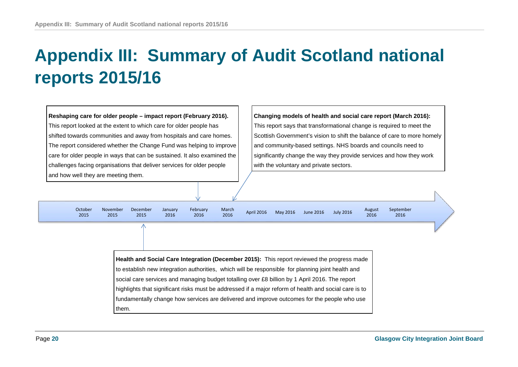# **Appendix III: Summary of Audit Scotland national reports 2015/16**

**Reshaping care for older people – impact report (February 2016).** This report looked at the extent to which care for older people has shifted towards communities and away from hospitals and care homes. The report considered whether the Change Fund was helping to improve care for older people in ways that can be sustained. It also examined the challenges facing organisations that deliver services for older people and how well they are meeting them.

**Changing models of health and social care report (March 2016):**  This report says that transformational change is required to meet the Scottish Government's vision to shift the balance of care to more homely and community-based settings. NHS boards and councils need to significantly change the way they provide services and how they work with the voluntary and private sectors.

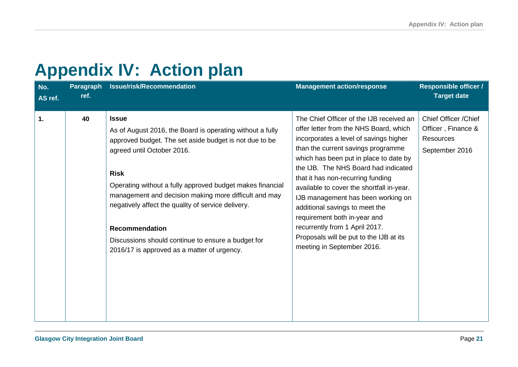# <span id="page-20-0"></span>**Appendix IV: Action plan**

| No.<br>AS ref. | <b>Paragraph</b><br>ref. | Issue/risk/Recommendation                                                                                                                                                                                                                                                                                                                                                                                                                                                                  | <b>Management action/response</b>                                                                                                                                                                                                                                                                                                                                                                                                                                                                                                                         | <b>Responsible officer /</b><br><b>Target date</b>                                |
|----------------|--------------------------|--------------------------------------------------------------------------------------------------------------------------------------------------------------------------------------------------------------------------------------------------------------------------------------------------------------------------------------------------------------------------------------------------------------------------------------------------------------------------------------------|-----------------------------------------------------------------------------------------------------------------------------------------------------------------------------------------------------------------------------------------------------------------------------------------------------------------------------------------------------------------------------------------------------------------------------------------------------------------------------------------------------------------------------------------------------------|-----------------------------------------------------------------------------------|
| $\mathbf 1$    | 40                       | <b>Issue</b><br>As of August 2016, the Board is operating without a fully<br>approved budget. The set aside budget is not due to be<br>agreed until October 2016.<br><b>Risk</b><br>Operating without a fully approved budget makes financial<br>management and decision making more difficult and may<br>negatively affect the quality of service delivery.<br><b>Recommendation</b><br>Discussions should continue to ensure a budget for<br>2016/17 is approved as a matter of urgency. | The Chief Officer of the IJB received an<br>offer letter from the NHS Board, which<br>incorporates a level of savings higher<br>than the current savings programme<br>which has been put in place to date by<br>the IJB. The NHS Board had indicated<br>that it has non-recurring funding<br>available to cover the shortfall in-year.<br>IJB management has been working on<br>additional savings to meet the<br>requirement both in-year and<br>recurrently from 1 April 2017.<br>Proposals will be put to the IJB at its<br>meeting in September 2016. | Chief Officer / Chief<br>Officer, Finance &<br><b>Resources</b><br>September 2016 |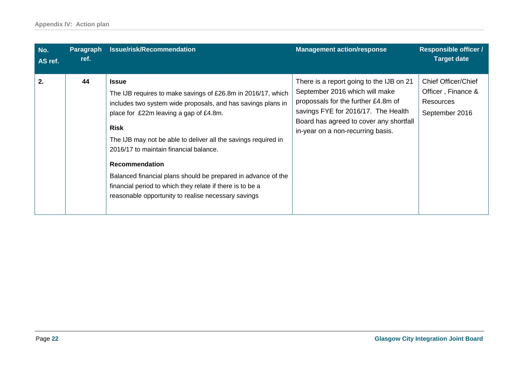| No.<br>AS ref. | <b>Paragraph</b><br>ref. | <b>Issue/risk/Recommendation</b>                                                                                                                                                                                                                                                                                                                                                                                                                                                                                                | <b>Management action/response</b>                                                                                                                                                                                                        | <b>Responsible officer /</b><br><b>Target date</b>                                     |
|----------------|--------------------------|---------------------------------------------------------------------------------------------------------------------------------------------------------------------------------------------------------------------------------------------------------------------------------------------------------------------------------------------------------------------------------------------------------------------------------------------------------------------------------------------------------------------------------|------------------------------------------------------------------------------------------------------------------------------------------------------------------------------------------------------------------------------------------|----------------------------------------------------------------------------------------|
| 2.             | 44                       | <b>Issue</b><br>The IJB requires to make savings of £26.8m in 2016/17, which<br>includes two system wide proposals, and has savings plans in<br>place for £22m leaving a gap of £4.8m.<br><b>Risk</b><br>The IJB may not be able to deliver all the savings required in<br>2016/17 to maintain financial balance.<br><b>Recommendation</b><br>Balanced financial plans should be prepared in advance of the<br>financial period to which they relate if there is to be a<br>reasonable opportunity to realise necessary savings | There is a report going to the IJB on 21<br>September 2016 which will make<br>propossals for the further £4.8m of<br>savings FYE for 2016/17. The Health<br>Board has agreed to cover any shortfall<br>in-year on a non-recurring basis. | <b>Chief Officer/Chief</b><br>Officer, Finance &<br><b>Resources</b><br>September 2016 |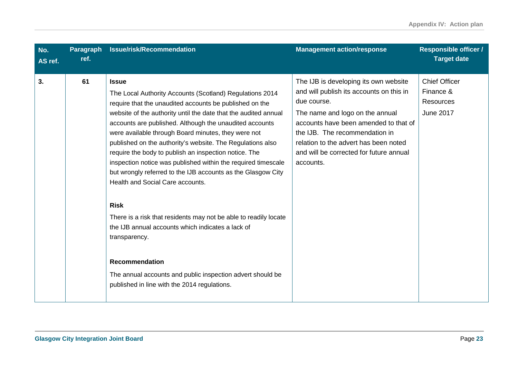| No.<br>AS ref. | Paragraph<br>ref. | Issue/risk/Recommendation                                                                                                                                                                                                                                                                                                                                                                                                                                                                                                                                                                                                                                                                                                                                                                                                                                                                                            | <b>Management action/response</b>                                                                                                                                                                                                                                                                               | <b>Responsible officer /</b><br><b>Target date</b>                        |
|----------------|-------------------|----------------------------------------------------------------------------------------------------------------------------------------------------------------------------------------------------------------------------------------------------------------------------------------------------------------------------------------------------------------------------------------------------------------------------------------------------------------------------------------------------------------------------------------------------------------------------------------------------------------------------------------------------------------------------------------------------------------------------------------------------------------------------------------------------------------------------------------------------------------------------------------------------------------------|-----------------------------------------------------------------------------------------------------------------------------------------------------------------------------------------------------------------------------------------------------------------------------------------------------------------|---------------------------------------------------------------------------|
| 3.             | 61                | <b>Issue</b><br>The Local Authority Accounts (Scotland) Regulations 2014<br>require that the unaudited accounts be published on the<br>website of the authority until the date that the audited annual<br>accounts are published. Although the unaudited accounts<br>were available through Board minutes, they were not<br>published on the authority's website. The Regulations also<br>require the body to publish an inspection notice. The<br>inspection notice was published within the required timescale<br>but wrongly referred to the IJB accounts as the Glasgow City<br>Health and Social Care accounts.<br><b>Risk</b><br>There is a risk that residents may not be able to readily locate<br>the IJB annual accounts which indicates a lack of<br>transparency.<br><b>Recommendation</b><br>The annual accounts and public inspection advert should be<br>published in line with the 2014 regulations. | The IJB is developing its own website<br>and will publish its accounts on this in<br>due course.<br>The name and logo on the annual<br>accounts have been amended to that of<br>the IJB. The recommendation in<br>relation to the advert has been noted<br>and will be corrected for future annual<br>accounts. | <b>Chief Officer</b><br>Finance &<br><b>Resources</b><br><b>June 2017</b> |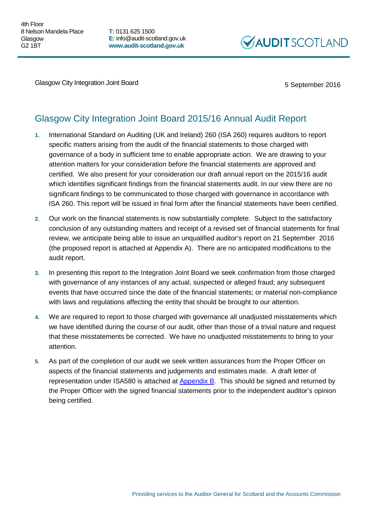**T:** 0131 625 1500 **E:** info@audit-scotland.gov.uk **www.audit-scotland.gov.uk**



Glasgow City Integration Joint Board 5 September 2016

## Glasgow City Integration Joint Board 2015/16 Annual Audit Report

- **1.** International Standard on Auditing (UK and Ireland) 260 (ISA 260) requires auditors to report specific matters arising from the audit of the financial statements to those charged with governance of a body in sufficient time to enable appropriate action. We are drawing to your attention matters for your consideration before the financial statements are approved and certified. We also present for your consideration our draft annual report on the 2015/16 audit which identifies significant findings from the financial statements audit. In our view there are no significant findings to be communicated to those charged with governance in accordance with ISA 260. This report will be issued in final form after the financial statements have been certified.
- **2.** Our work on the financial statements is now substantially complete. Subject to the satisfactory conclusion of any outstanding matters and receipt of a revised set of financial statements for final review, we anticipate being able to issue an unqualified auditor's report on 21 September 2016 (the proposed report is attached at [Appendix A\)](#page-24-0). There are no anticipated modifications to the audit report.
- **3.** In presenting this report to the Integration Joint Board we seek confirmation from those charged with governance of any instances of any actual, suspected or alleged fraud; any subsequent events that have occurred since the date of the financial statements; or material non-compliance with laws and regulations affecting the entity that should be brought to our attention.
- **4.** We are required to report to those charged with governance all unadjusted misstatements which we have identified during the course of our audit, other than those of a trivial nature and request that these misstatements be corrected. We have no unadjusted misstatements to bring to your attention.
- **5.** As part of the completion of our audit we seek written assurances from the Proper Officer on aspects of the financial statements and judgements and estimates made. A draft letter of representation under ISA580 is attached at [Appendix B.](#page-26-0) This should be signed and returned by the Proper Officer with the signed financial statements prior to the independent auditor's opinion being certified.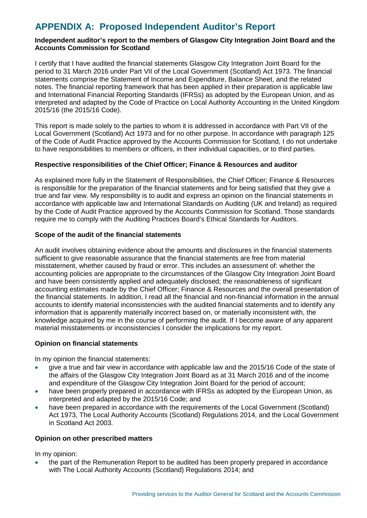## <span id="page-24-0"></span>**APPENDIX A: Proposed Independent Auditor's Report**

### **Independent auditor's report to the members of Glasgow City Integration Joint Board and the Accounts Commission for Scotland**

I certify that I have audited the financial statements Glasgow City Integration Joint Board for the period to 31 March 2016 under Part VII of the Local Government (Scotland) Act 1973. The financial statements comprise the Statement of Income and Expenditure, Balance Sheet, and the related notes. The financial reporting framework that has been applied in their preparation is applicable law and International Financial Reporting Standards (IFRSs) as adopted by the European Union, and as interpreted and adapted by the Code of Practice on Local Authority Accounting in the United Kingdom 2015/16 (the 2015/16 Code).

This report is made solely to the parties to whom it is addressed in accordance with Part VII of the Local Government (Scotland) Act 1973 and for no other purpose. In accordance with paragraph 125 of the Code of Audit Practice approved by the Accounts Commission for Scotland, I do not undertake to have responsibilities to members or officers, in their individual capacities, or to third parties.

#### **Respective responsibilities of the Chief Officer; Finance & Resources and auditor**

As explained more fully in the Statement of Responsibilities, the Chief Officer; Finance & Resources is responsible for the preparation of the financial statements and for being satisfied that they give a true and fair view. My responsibility is to audit and express an opinion on the financial statements in accordance with applicable law and International Standards on Auditing (UK and Ireland) as required by the Code of Audit Practice approved by the Accounts Commission for Scotland. Those standards require me to comply with the Auditing Practices Board's Ethical Standards for Auditors.

#### **Scope of the audit of the financial statements**

An audit involves obtaining evidence about the amounts and disclosures in the financial statements sufficient to give reasonable assurance that the financial statements are free from material misstatement, whether caused by fraud or error. This includes an assessment of: whether the accounting policies are appropriate to the circumstances of the Glasgow City Integration Joint Board and have been consistently applied and adequately disclosed; the reasonableness of significant accounting estimates made by the Chief Officer; Finance & Resources and the overall presentation of the financial statements. In addition, I read all the financial and non-financial information in the annual accounts to identify material inconsistencies with the audited financial statements and to identify any information that is apparently materially incorrect based on, or materially inconsistent with, the knowledge acquired by me in the course of performing the audit. If I become aware of any apparent material misstatements or inconsistencies I consider the implications for my report.

### **Opinion on financial statements**

In my opinion the financial statements:

- give a true and fair view in accordance with applicable law and the 2015/16 Code of the state of the affairs of the Glasgow City Integration Joint Board as at 31 March 2016 and of the income and expenditure of the Glasgow City Integration Joint Board for the period of account;
- have been properly prepared in accordance with IFRSs as adopted by the European Union, as interpreted and adapted by the 2015/16 Code; and
- have been prepared in accordance with the requirements of the Local Government (Scotland) Act 1973, The Local Authority Accounts (Scotland) Regulations 2014, and the Local Government in Scotland Act 2003.

#### **Opinion on other prescribed matters**

In my opinion:

• the part of the Remuneration Report to be audited has been properly prepared in accordance with The Local Authority Accounts (Scotland) Regulations 2014; and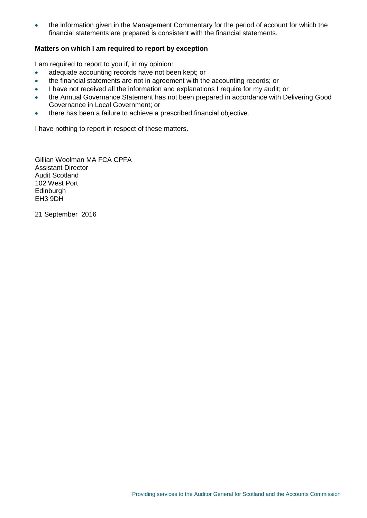• the information given in the Management Commentary for the period of account for which the financial statements are prepared is consistent with the financial statements.

#### **Matters on which I am required to report by exception**

I am required to report to you if, in my opinion:

- adequate accounting records have not been kept; or
- the financial statements are not in agreement with the accounting records; or
- I have not received all the information and explanations I require for my audit; or
- the Annual Governance Statement has not been prepared in accordance with Delivering Good Governance in Local Government; or
- there has been a failure to achieve a prescribed financial objective.

I have nothing to report in respect of these matters.

Gillian Woolman MA FCA CPFA Assistant Director Audit Scotland 102 West Port **Edinburgh** EH3 9DH

21 September 2016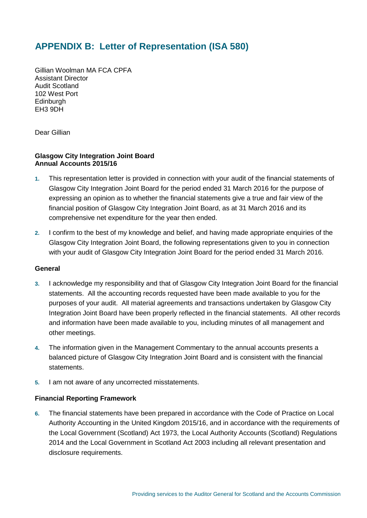## <span id="page-26-0"></span>**APPENDIX B: Letter of Representation (ISA 580)**

Gillian Woolman MA FCA CPFA Assistant Director Audit Scotland 102 West Port **Edinburgh** EH3 9DH

Dear Gillian

### **Glasgow City Integration Joint Board Annual Accounts 2015/16**

- **1.** This representation letter is provided in connection with your audit of the financial statements of Glasgow City Integration Joint Board for the period ended 31 March 2016 for the purpose of expressing an opinion as to whether the financial statements give a true and fair view of the financial position of Glasgow City Integration Joint Board, as at 31 March 2016 and its comprehensive net expenditure for the year then ended.
- **2.** I confirm to the best of my knowledge and belief, and having made appropriate enquiries of the Glasgow City Integration Joint Board, the following representations given to you in connection with your audit of Glasgow City Integration Joint Board for the period ended 31 March 2016.

### **General**

- **3.** I acknowledge my responsibility and that of Glasgow City Integration Joint Board for the financial statements. All the accounting records requested have been made available to you for the purposes of your audit. All material agreements and transactions undertaken by Glasgow City Integration Joint Board have been properly reflected in the financial statements. All other records and information have been made available to you, including minutes of all management and other meetings.
- **4.** The information given in the Management Commentary to the annual accounts presents a balanced picture of Glasgow City Integration Joint Board and is consistent with the financial statements.
- **5.** I am not aware of any uncorrected misstatements.

### **Financial Reporting Framework**

**6.** The financial statements have been prepared in accordance with the Code of Practice on Local Authority Accounting in the United Kingdom 2015/16, and in accordance with the requirements of the Local Government (Scotland) Act 1973, the Local Authority Accounts (Scotland) Regulations 2014 and the Local Government in Scotland Act 2003 including all relevant presentation and disclosure requirements.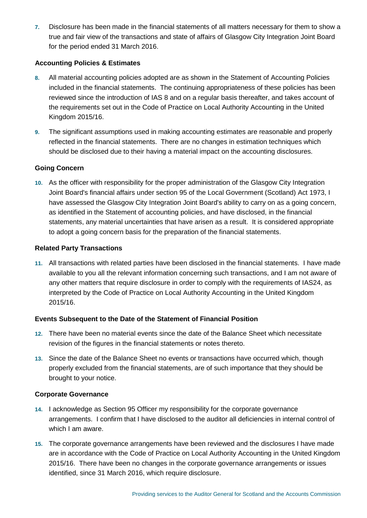**7.** Disclosure has been made in the financial statements of all matters necessary for them to show a true and fair view of the transactions and state of affairs of Glasgow City Integration Joint Board for the period ended 31 March 2016.

### **Accounting Policies & Estimates**

- **8.** All material accounting policies adopted are as shown in the Statement of Accounting Policies included in the financial statements. The continuing appropriateness of these policies has been reviewed since the introduction of IAS 8 and on a regular basis thereafter, and takes account of the requirements set out in the Code of Practice on Local Authority Accounting in the United Kingdom 2015/16.
- **9.** The significant assumptions used in making accounting estimates are reasonable and properly reflected in the financial statements. There are no changes in estimation techniques which should be disclosed due to their having a material impact on the accounting disclosures.

### **Going Concern**

**10.** As the officer with responsibility for the proper administration of the Glasgow City Integration Joint Board's financial affairs under section 95 of the Local Government (Scotland) Act 1973, I have assessed the Glasgow City Integration Joint Board's ability to carry on as a going concern, as identified in the Statement of accounting policies, and have disclosed, in the financial statements, any material uncertainties that have arisen as a result. It is considered appropriate to adopt a going concern basis for the preparation of the financial statements.

### **Related Party Transactions**

**11.** All transactions with related parties have been disclosed in the financial statements. I have made available to you all the relevant information concerning such transactions, and I am not aware of any other matters that require disclosure in order to comply with the requirements of IAS24, as interpreted by the Code of Practice on Local Authority Accounting in the United Kingdom 2015/16.

### **Events Subsequent to the Date of the Statement of Financial Position**

- **12.** There have been no material events since the date of the Balance Sheet which necessitate revision of the figures in the financial statements or notes thereto.
- **13.** Since the date of the Balance Sheet no events or transactions have occurred which, though properly excluded from the financial statements, are of such importance that they should be brought to your notice.

### **Corporate Governance**

- **14.** I acknowledge as Section 95 Officer my responsibility for the corporate governance arrangements. I confirm that I have disclosed to the auditor all deficiencies in internal control of which I am aware.
- **15.** The corporate governance arrangements have been reviewed and the disclosures I have made are in accordance with the Code of Practice on Local Authority Accounting in the United Kingdom 2015/16. There have been no changes in the corporate governance arrangements or issues identified, since 31 March 2016, which require disclosure.